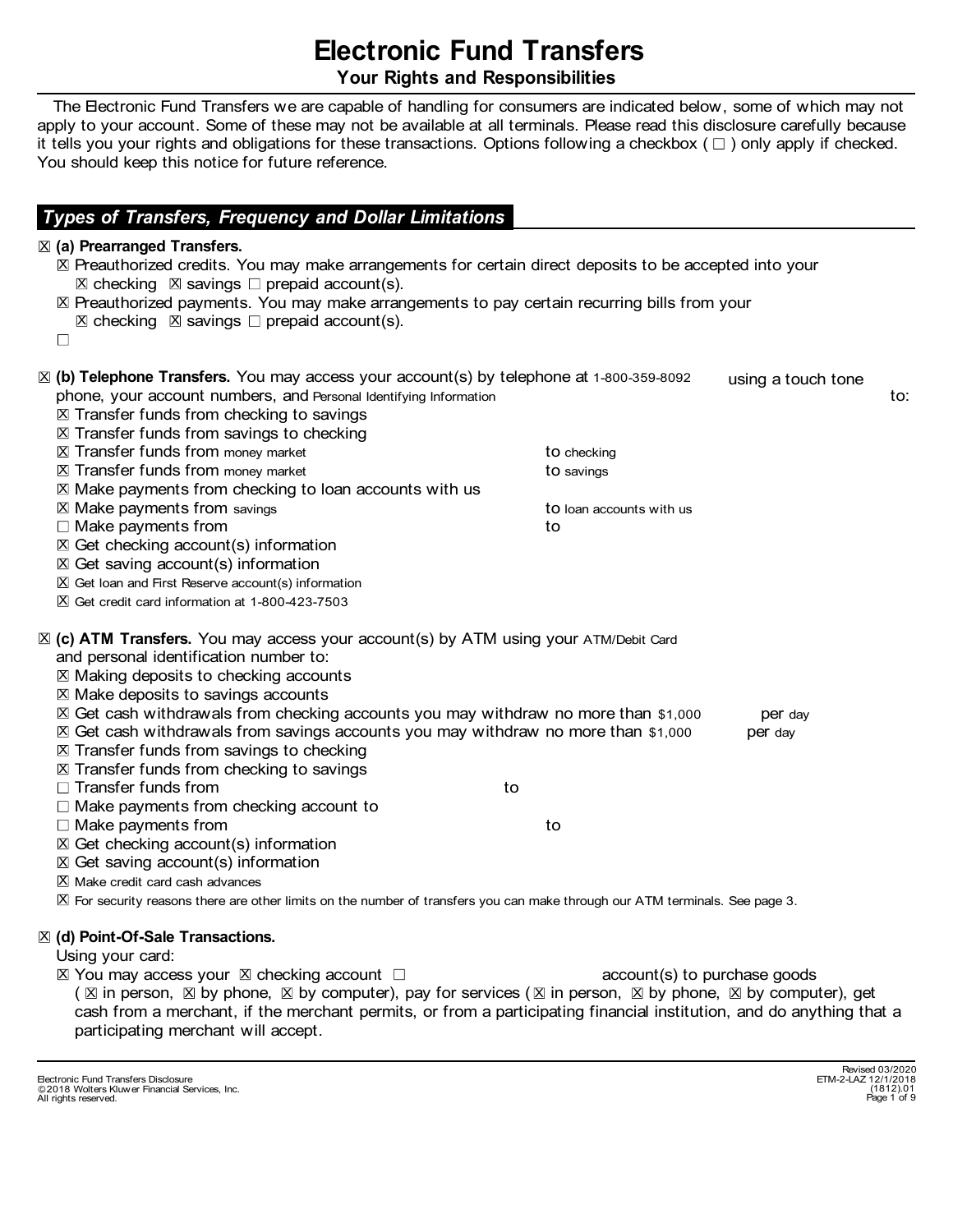# Electronic Fund Transfers Your Rights and Responsibilities

 The Electronic Fund Transfers we are capable of handling for consumers are indicated below, some of which may not apply to your account. Some of these may not be available at all terminals. Please read this disclosure carefully because it tells you your rights and obligations for these transactions. Options following a checkbox  $(\Box)$  only apply if checked. You should keep this notice for future reference.

## Types of Transfers, Frequency and Dollar Limitations

#### $\mathbb Z$  (a) Prearranged Transfers.

 $\boxtimes$  Preauthorized credits. You may make arrangements for certain direct deposits to be accepted into your **Electronic Fund Transfers**<br>
Your Rights and Responsibilities<br>
Hectronic Fund Transfers we are capable of handling for consumers are indicated be<br>
your account. Some of these may not be available at all terminals. Please  $\boxtimes$  Preauthorized payments. You may make arrangements to pay certain recurring bills from your **Electronic Fund Transfers**<br>
Your Rights and Responsibilities<br>
Bectronic Fund Transfers we are eqaptele of handling for consumers are indicated be<br>
your account. Some of these may not be available at all terminals. Please **Electronic Fund Transfers**<br>
Your Rights and Responsibilities<br>
The Electronic Fund Transfers we are capable of handling for consumers are indicated below<br>
ells you your racount. Some of these may not be available at all t  $\boxtimes$  checking  $\boxtimes$  savings  $\square$  prepaid account(s).  $\boxtimes$  checking  $\boxtimes$  savings  $\square$  prepaid account(s). using a touch tone **Electronic Fund Transfers**<br> **Electronic Fund Transfers**<br> **Solution** Chromate and Responsibilities<br> **Phone in the second of these may not be available at all terminals. Please read this disclosure carefully because<br>
the sy**  $\Box$  Make payments from checking account to  $\Sigma$  Transfer funds from checking to savings  $\boxtimes$  Transfer funds from savings to checking  $\boxtimes$  Transfer funds from money market  $\qquad \qquad$  to checking  $\boxtimes$  Transfer funds from money market  $\blacksquare$  Transfer funds from money market  $\blacksquare$  $\boxtimes$  Make payments from checking to loan accounts with us  $\boxtimes$  Make payments from savings  $\Box$   $\Box$   $\Box$   $\Box$   $\Box$   $\Box$  to loan accounts with us  $\square$  Make payments from to the state of  $\blacksquare$  $\mathbb X$  Get checking account(s) information  $X$  Get saving account(s) information (a) Prearranged Transfers.<br>  $\mathbb{Z}$  Reachthorized credits. You may make arrangements for certain direct deposits to be accepted<br>  $\mathbb{Z}$  Reachthorized payments. You may make arrangements to pay certain recurring bills f and personal identification number to:  $\boxtimes$  Making deposits to checking accounts  $\boxtimes$  Make deposits to savings accounts Example the matter of the matter of the matter of the product of the product of the product of the more your account turning and the more your account turning a fouch to me.<br>
Transfer funds from checking to searing the mor Chephone Transfers. You may access your account(s) by telephone at 1-800-359-8092 using a touch tome<br>Transfer tunds from checking to exerce identifying information<br>Transfer funds from savings to checking<br>Transfer funds fro  $\Sigma$  Transfer funds from savings to checking  $\Sigma$  Transfer funds from checking to savings one, your account numbers, and twester detailing internation to the control of the control of the control of the control of the control of the control of the control of the control of the control of the control of the cont  $\square$  Make payments from to the state of  $\blacksquare$  $\mathbb X$  Get checking account(s) information  $X$  Get saving account(s) information  $\Box$  Make paymenta ricution<br>  $\boxtimes$  Get saving account(s) information<br>  $\boxtimes$  Get saving account(s) information<br>  $\boxtimes$  Get saving account(s) information<br>  $\boxtimes$  Get saving account(s) information<br>  $\boxtimes$  Get resit are inform Controller and information at 1-300-423-7503<br>
Celustration information at 1-300-423-7503<br>
Celustration formulation at 1-300-423-7503<br>
ATM Transfers. You may worked accounts you may withdraw no more than \$1,000<br>
Celustrati Computer), the method of the method of the method of the method is a person of the method in the method of person, and denote the method of the method of the method of the method of the method of the method of the method **Electronic Fund Transfers**<br>
Your Rights and Responsibilities<br>
Bectronic Fund Transfers we are capable of handling for consumers are indicated<br>
to your account. Some of these may not be available at all terminals. Please r **Electronic Fund Transfers**<br>
Your Rights and Responsibilities<br>
to your account. Some of these may not be available at all terminals. Please read to<br>
you your rights and obligations for these transactions. Options followin  $\boxtimes$  (b) Telephone Transfers. You may access your account(s) by telephone at 1-800-359-8092 phone, your account numbers, and Personal Identifying Information **ENGLITORIC FUND LTANSTERS<br>
The Electronic Fund Transfers we are capable of handling for consumers are indicated below, some of which may not<br>
by to your account. Some of these may not be available at all terminals. Rease Your Rights and Responsibilities**<br>
The Electronic Fund Transfers we are capable of handling for consumers are indicated below, some of which may not<br>
by to your account. Some of these may not be available at all terminal The Beatronic Furlo Transfers, we are capable of handling for consumers are indicated below, some of which may not<br>by to your account. Some of these may not be available at all terminals. Rease read this disclosure carefu  $X$  Get loan and First Reserve account(s) information X Get credit card information at 1-800-423-7503  $\boxtimes$  (c) ATM Transfers. You may access your account(s) by ATM using your ATM/Debit Card X acheolology per same that specifies. You may access your account(s) by telephone at 1-800-359-8092 using a touch tone<br>
(b) Telephone Transfers. You may access your account(s) by telephone at 1-800-359-8092 using a touc The value of **Properties of the value of the value of the value of the value of the value of the value of the value of the value of the value of the value of the value of the value of the value of the value of the value of**  $X$  Make credit card cash advances  $\boxtimes$  For security reasons there are other limits on the number of transfers you can make through our ATM terminals. See page 3. A Get saving Scooling in information<br>
X Get loan and First Reserve account(s) information<br>
X Get credit card information at 1-800-423-7503<br>
X Get credit card information at 1-800-423-7503<br>
X Get credit card information a n An in's resear account(s) into multiplication<br>
and credit card information at 1-800-423-7603<br>
at credit card information at 1-800-423-7603<br>
Bet card with firstnames to:<br>
Detect card with firstnames from sample accounts<br>

#### $X$  (d) Point-Of-Sale Transactions.

Using your card:

cash from a merchant, if the merchant permits, or from a participating financial institution, and do anything that a participating merchant will accept.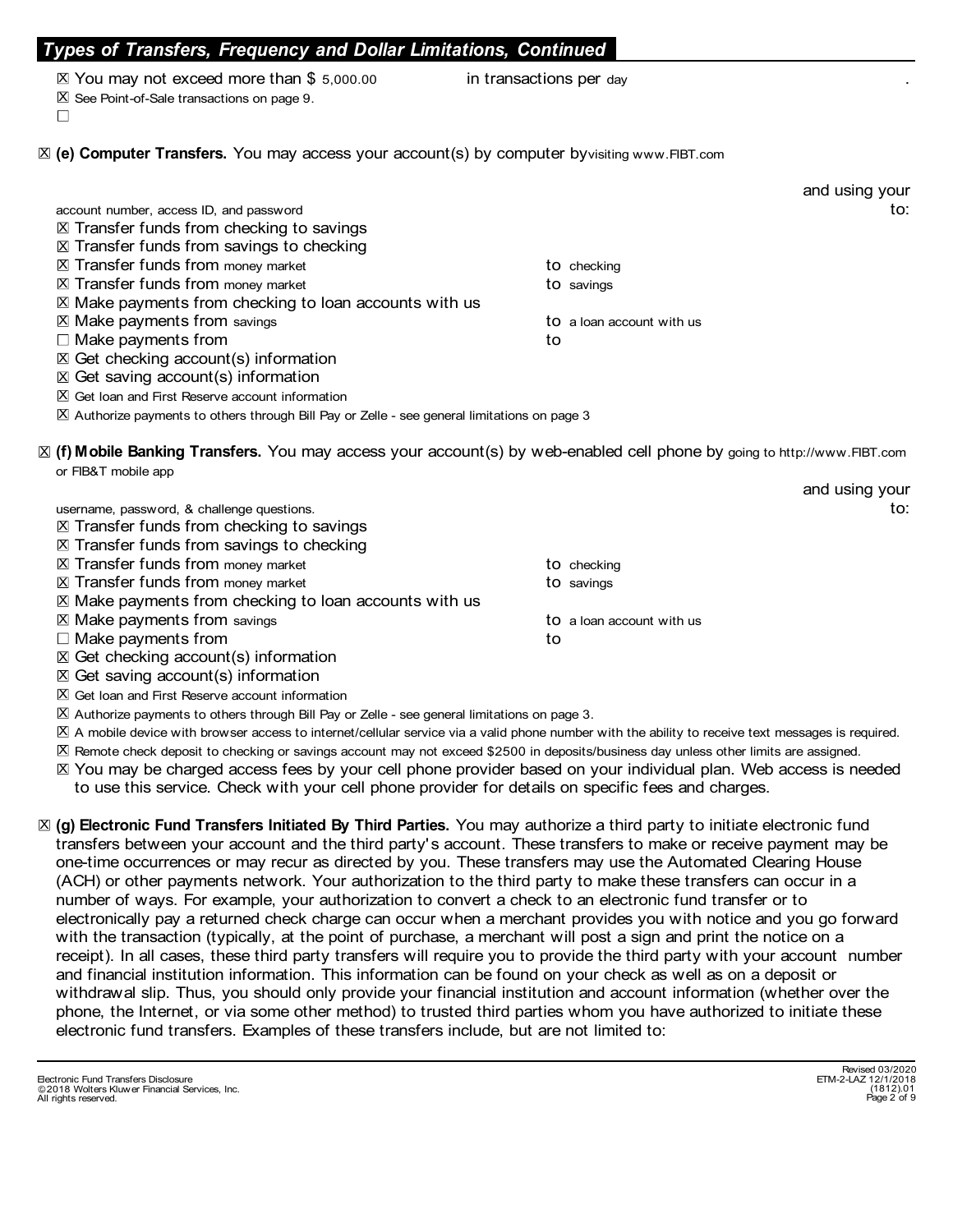### ypes of Transfers, Frequency and Dollar Limitations, Continued

- 
- $X$  See Point-of-Sale transactions on page 9.
- 

es of Transfers, Frequency and Dollar Limitations, Continued<br>You may not exceed more than \$ 5,000.00 in transactions per day<br>See Point-of-Sale transactions on page 9.<br>Computer Transfers. You may access your account(s) by c **ypes of Transfers, Frequency and Dollar Limitations, Continued**<br>⊠ You may not exceed more than \$ 5,000.00 domain transactions per day<br>⊠ See Point-of-Sale transactions on page 9.<br>(e**) Computer Transfers.** You may access y  $\boxtimes$  (e) Computer Transfers. You may access your account(s) by computer by visiting www.FIBT.com

| Types of Transfers, Frequency and Dollar Limitations, Continued                                                          |                                                                                                                                                                                                                                                                                                                                                      |
|--------------------------------------------------------------------------------------------------------------------------|------------------------------------------------------------------------------------------------------------------------------------------------------------------------------------------------------------------------------------------------------------------------------------------------------------------------------------------------------|
|                                                                                                                          |                                                                                                                                                                                                                                                                                                                                                      |
|                                                                                                                          |                                                                                                                                                                                                                                                                                                                                                      |
|                                                                                                                          |                                                                                                                                                                                                                                                                                                                                                      |
|                                                                                                                          |                                                                                                                                                                                                                                                                                                                                                      |
| X (e) Computer Transfers. You may access your account(s) by computer byvisiting www.FIBT.com                             |                                                                                                                                                                                                                                                                                                                                                      |
|                                                                                                                          |                                                                                                                                                                                                                                                                                                                                                      |
|                                                                                                                          | and using your                                                                                                                                                                                                                                                                                                                                       |
|                                                                                                                          | to:                                                                                                                                                                                                                                                                                                                                                  |
|                                                                                                                          |                                                                                                                                                                                                                                                                                                                                                      |
|                                                                                                                          |                                                                                                                                                                                                                                                                                                                                                      |
|                                                                                                                          |                                                                                                                                                                                                                                                                                                                                                      |
|                                                                                                                          |                                                                                                                                                                                                                                                                                                                                                      |
|                                                                                                                          |                                                                                                                                                                                                                                                                                                                                                      |
|                                                                                                                          |                                                                                                                                                                                                                                                                                                                                                      |
|                                                                                                                          |                                                                                                                                                                                                                                                                                                                                                      |
|                                                                                                                          |                                                                                                                                                                                                                                                                                                                                                      |
|                                                                                                                          |                                                                                                                                                                                                                                                                                                                                                      |
|                                                                                                                          |                                                                                                                                                                                                                                                                                                                                                      |
|                                                                                                                          |                                                                                                                                                                                                                                                                                                                                                      |
| X (f) Mobile Banking Transfers. You may access your account(s) by web-enabled cell phone by going to http://www.FIBT.com |                                                                                                                                                                                                                                                                                                                                                      |
|                                                                                                                          | and using your                                                                                                                                                                                                                                                                                                                                       |
|                                                                                                                          | to:                                                                                                                                                                                                                                                                                                                                                  |
|                                                                                                                          |                                                                                                                                                                                                                                                                                                                                                      |
|                                                                                                                          |                                                                                                                                                                                                                                                                                                                                                      |
|                                                                                                                          |                                                                                                                                                                                                                                                                                                                                                      |
|                                                                                                                          |                                                                                                                                                                                                                                                                                                                                                      |
|                                                                                                                          |                                                                                                                                                                                                                                                                                                                                                      |
| to a loan account with us                                                                                                |                                                                                                                                                                                                                                                                                                                                                      |
| to                                                                                                                       |                                                                                                                                                                                                                                                                                                                                                      |
|                                                                                                                          |                                                                                                                                                                                                                                                                                                                                                      |
|                                                                                                                          |                                                                                                                                                                                                                                                                                                                                                      |
|                                                                                                                          |                                                                                                                                                                                                                                                                                                                                                      |
|                                                                                                                          |                                                                                                                                                                                                                                                                                                                                                      |
|                                                                                                                          | in transactions per day<br>to checking<br>to savings<br>$X$ Make payments from checking to loan accounts with us<br>to a loan account with us<br>to<br>$\boxtimes$ Authorize payments to others through Bill Pay or Zelle - see general limitations on page 3<br>to checking<br>to savings<br>⊠ Make payments from checking to loan accounts with us |

 $\boxtimes$  Authorize payments to others through Bill Pay or Zelle - see general limitations on page 3.

 $\boxtimes$  A mobile device with browser access to internet/cellular service via a valid phone number with the ability to receive text messages is required.

X Remote check deposit to checking or savings account may not exceed \$2500 in deposits/business day unless other limits are assigned.

⊠ You may be charged access fees by your cell phone provider based on your individual plan. Web access is needed to use this service. Check with your cell phone provider for details on specific fees and charges.

⊠ (g) Electronic Fund Transfers Initiated By Third Parties. You may authorize a third party to initiate electronic fund transfers between your account and the third party's account. These transfers to make or receive payment may be one-time occurrences or may recur as directed by you. These transfers may use the Automated Clearing House (ACH) or other payments network. Your authorization to the third party to make these transfers can occur in a number of ways. For example, your authorization to convert a check to an electronic fund transfer or to electronically pay a returned check charge can occur when a merchant provides you with notice and you go forward with the transaction (typically, at the point of purchase, a merchant will post a sign and print the notice on a receipt). In all cases, these third party transfers will require you to provide the third party with your account number and financial institution information. This information can be found on your check as well as on a deposit or withdrawal slip. Thus, you should only provide your financial institution and account information (whether over the phone, the Internet, or via some other method) to trusted third parties whom you have authorized to initiate these electronic fund transfers. Examples of these transfers include, but are not limited to: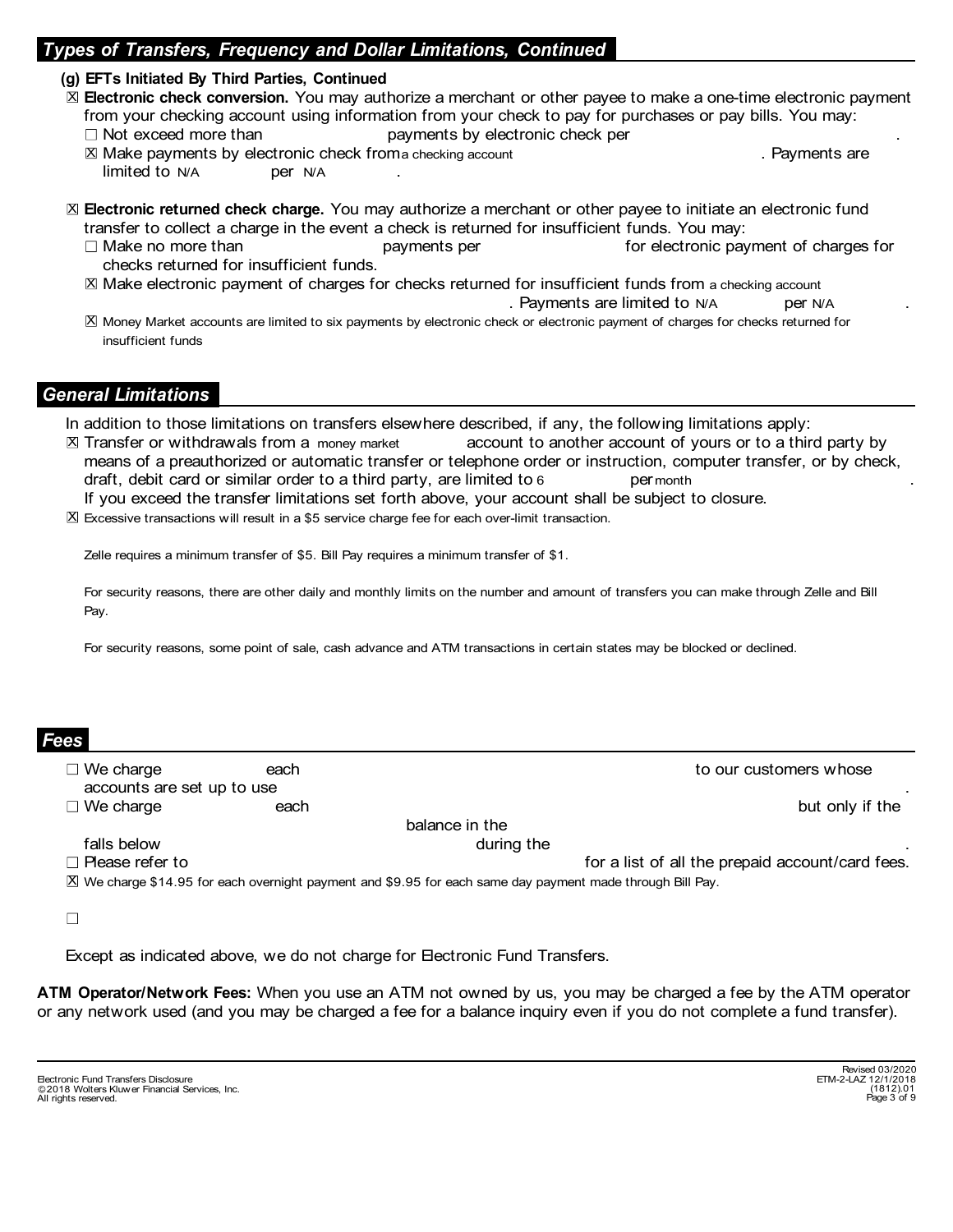### ypes of Transfers, Frequency and Dollar Limitations, Continued

#### (g) EFTs Initiated By Third Parties, Continued

- ⊠ Electronic check conversion. You may authorize a merchant or other payee to make a one-time electronic payment from your checking account using information from your check to pay for purchases or pay bills. You may: **Of Transfers, Frequency and Dollar Limitations, Continued**<br>
Ts Initiated By Third Parties, Continued<br>
It is initiated By Third Parties, Continued<br>
It is increased more than<br>
Not exceed more than<br>
Not exceed more than<br>
Not of Transfers, Frequency and Dollar Limitations, Continued<br>
Ts Initiated By Third Parties, Continued<br>
actronic check conversion. You may authorize a merchant or other payee to make a one-time electronic payment<br>
m your chec **ORIGITY TRANSFERS, Frequency and Dollar Limitations, Continued<br>
Ts Initiated By Third Parties, Continued<br>
Certronic check conversion.** You may authorize a merchant or other payee to make a one-time electronic payment<br>
myo **Transfers, Frequency and Dollar Limitations, Continued**<br> **Ts initiated By Third Parties, Continued**<br>
Interdictionic check conversion. You may authorize a merchant or other payee to make a one-time electronic payment<br>
Mot **Continued**<br>
to other payee to make a one-time electronic payment<br>
neck to pay for purchases or pay bills. You may:<br>
tronic check per<br>
. Payments are<br>
chant or other payee to initiate an electronic fund<br>
for insufficient f Find Parties, Continued<br>
In By Third Parties, Continued<br>
Extremely and Dollar Limitations, Continued<br>
eck conversion. You may authorize a merchant or other payee to make a one-time electric<br>
ecking account using informatio a one-time electronic payment<br>or pay bills. You may:<br>Payments are<br>itiate an electronic fund<br>u may:<br>onic payment of charges for<br>m a checking account<br>N/A per N/A<br>ges for checks returned for
	-
	- $X$  Make payments by electronic check from a checking account
- ⊠ Electronic returned check charge. You may authorize a merchant or other payee to initiate an electronic fund transfer to collect a charge in the event a check is returned for insufficient funds. You may:
	- checks returned for insufficient funds.
	- $\boxtimes$  Make electronic payment of charges for checks returned for insufficient funds from a checking account
	- X Money Market accounts are limited to six payments by electronic check or electronic payment of charges for checks returned for insufficient funds

#### General Limitations

In addition to those limitations on transfers elsewhere described, if any, the following limitations apply:

- account to another account of yours or to a third party by means of a preauthorized or automatic transfer or telephone order or instruction, computer transfer, or by check, EFT initiated by Third Parties, Continued<br>
Effectronic check conversion. You may authorize a merchant or other payee to make a one-time electronic payment<br>
from your checked more than<br>
II Not exceed more than<br>
II Not excee If you exceed the transfer limitations set forth above, your account shall be subject to closure.  $X$  Transfer or withdrawals from a money market other payee to make a one-time electronic payment<br>
it to pay for purchases or pay bills. You may:<br>
inc check per<br>
Payments are<br>
not or other payee to initiate an electronic fund<br>
insufficient funds. You may:<br>
for electroni
- $X$  Excessive transactions will result in a \$5 service charge fee for each over-limit transaction.

Zelle requires a minimum transfer of \$5. Bill Pay requires a minimum transfer of \$1.

For security reasons, there are other daily and monthly limits on the number and amount of transfers you can make through Zelle and Bill Pay.

For security reasons, some point of sale, cash advance and ATM transactions in certain states may be blocked or declined.

| Fees<br>11 |
|------------|
|            |

**Examples in the control of the control of the control of the control of the control of the control of the control of the control of the control of the control of the control of the control of the control of the control of and Finited Hones**<br>
Transfer or withdrawals from a money merket easer these there described, if any, the following limitations apply:<br>
Transfer or withdrawals from a money merket easer to telephone order or instruction, c Considerations on transfers elsewhere described, if any, the following limitations apply:<br>Transfer or withdrawals from a money make account to ancher account of yours or to a third party by<br>Transfer or withdrawals from a m balance in the Transfer or withdrawals from a money market account to another account of yours or to a third party by<br>means of a preauthorized or automatic transfer or telephone order or instruction, computer transfer, or by check,<br>the f means of a presulthorized or automatic transfer or telephone order or instruction, computer transfer, or by check,<br>
and and, debit card or similar order to a third party, are limited to some comparison between the transfer X We charge \$14.95 for each overnight payment and \$9.95 for each same day payment made through Bill Pay.

 $\Box$ 

Except as indicated above, we do not charge for Electronic Fund Transfers.

ATM Operator/Network Fees: When you use an ATM not owned by us, you may be charged a fee by the ATM operator or any network used (and you may be charged a fee for a balance inquiry even if you do not complete a fund transfer).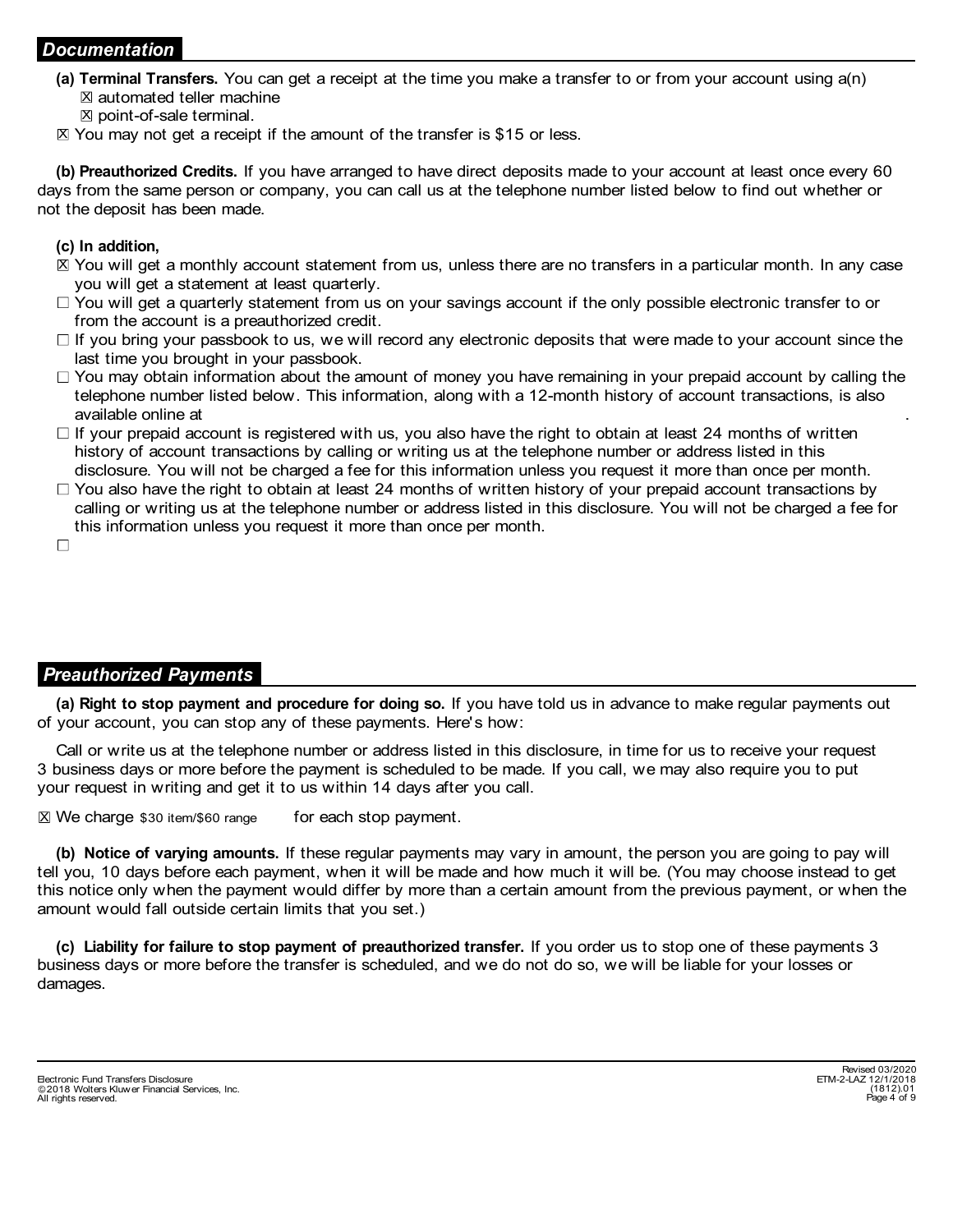#### Documentation

- **ocumentation**<br>
(**a**) Terminal Transfers. You can get a receipt at the time you make a transfer to or from your account using a(n)<br>  $\mathbb{X}$  atomated teller machine<br>  $\mathbb{X}$  You may not get a receipt if the amount of the  $\Sigma$  automated teller machine
	- $\Sigma$  point-of-sale terminal.
- $\boxtimes$  You may not get a receipt if the amount of the transfer is \$15 or less.

(b) Preauthorized Credits. If you have arranged to have direct deposits made to your account at least once every 60 days from the same person or company, you can call us at the telephone number listed below to find out whether or not the deposit has been made.

#### (c) In addition,

- ⊠ You will get a monthly account statement from us, unless there are no transfers in a particular month. In any case you will get a statement at least quarterly.
- $\Box$  You will get a quarterly statement from us on your savings account if the only possible electronic transfer to or from the account is a preauthorized credit.
- $\Box$  If you bring your passbook to us, we will record any electronic deposits that were made to your account since the last time you brought in your passbook.
- $\Box$  You may obtain information about the amount of money you have remaining in your prepaid account by calling the telephone number listed below. This information, along with a 12-month history of account transactions, is also **Tombile (1001)**<br> **Tombile 17 Tombile Transfors.** You can get a receipt at the time you make a transfer to or from your account using a(n)<br>  $\mathbb{Z}$  automated teller machine<br>  $\mathbb{Z}$  point-of-sale terminal.<br>
You may not g IT You will get a quarteriy statement from us on your savings account if the only possible electronic transfer to or<br>
If you bring your passbook, to us, we will record any electronic deposits that were made to your account
- $\Box$  If your prepaid account is registered with us, you also have the right to obtain at least 24 months of written history of account transactions by calling or writing us at the telephone number or address listed in this disclosure. You will not be charged a fee for this information unless you request it more than once per month.
- $\Box$  You also have the right to obtain at least 24 months of written history of your prepaid account transactions by calling or writing us at the telephone number or address listed in this disclosure. You will not be charged a fee for this information unless you request it more than once per month.

# Preauthorized Payments

of your account, you can stop any of these payments. Here's how:

Call or write us at the telephone number or address listed in this disclosure, in time for us to receive your request 3 business days or more before the payment is scheduled to be made. If you call, we may also require you to put your request in writing and get it to us within 14 days after you call.

 $\boxtimes$  We charge \$30 item/\$60 range for each stop payment.

available online at<br>
any available online and the matter of the matter of vertical stop and<br>
If your prepaid account transactions by calling or writing us at the telephone number or address listed in t<br>
disclosure. You wil (b) Notice of varying amounts. If these regular payments may vary in amount, the person you are going to pay will tell you, 10 days before each payment, when it will be made and how much it will be. (You may choose instead to get this notice only when the payment would differ by more than a certain amount from the previous payment, or when the amount would fall outside certain limits that you set.) (a) Right to stop payment and procedure for doing so. If you have told us in advance to make regular payments out your account, you can stop any of these payments. Here's how:<br>Call or write us at the telephone number or ad

business days or more before the transfer is scheduled, and we do not do so, we will be liable for your losses or damages.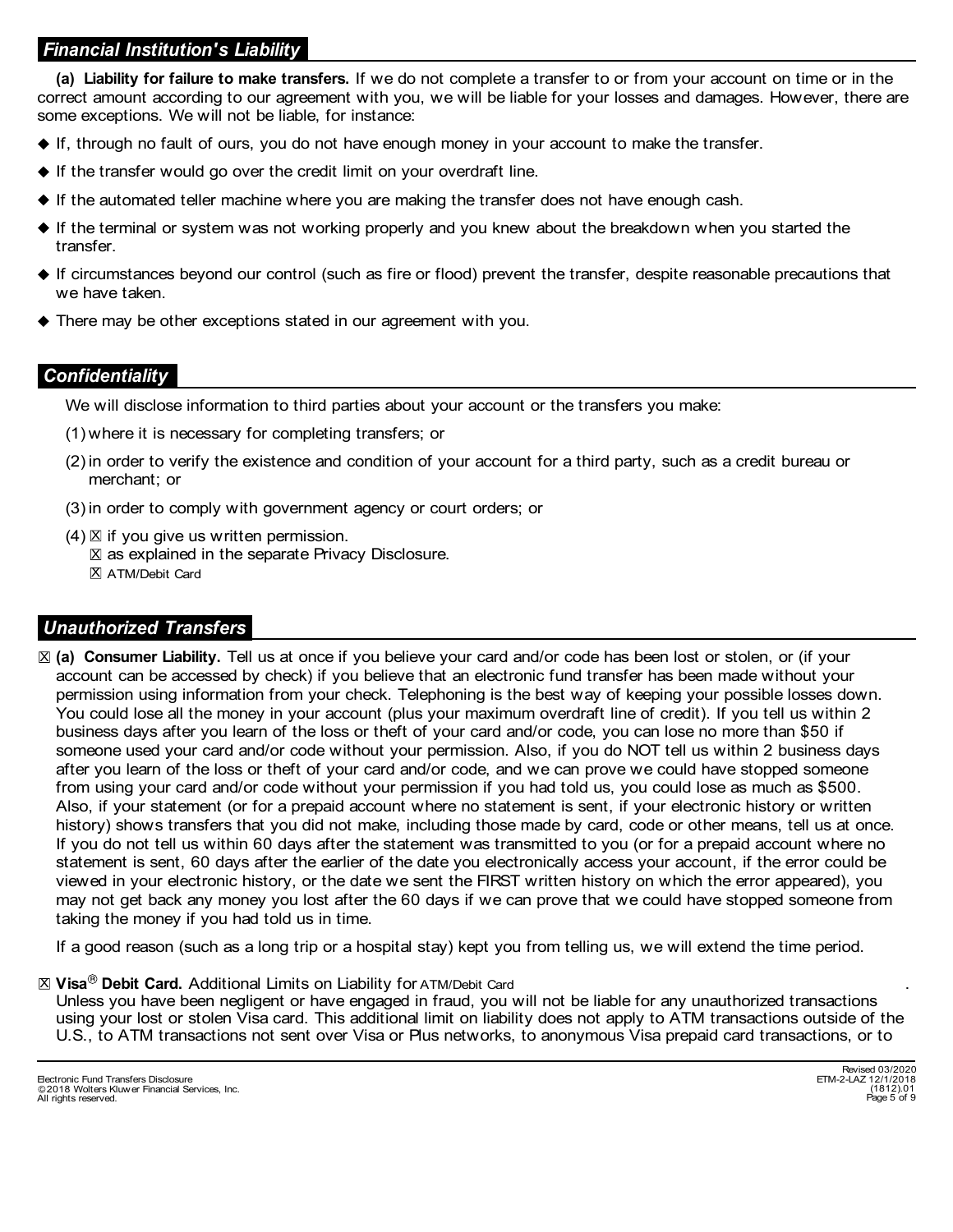# Financial Institution's Liability

**inancial Institution's Liability**<br>
(a) Liability for failure to make transfers. If we do not complete a transfer to or from your account on time or in the<br>
rrect amount according to our agreement with you, we will be liab correct amount according to our agreement with you, we will be liable for your losses and damages. However, there are some exceptions. We will not be liable, for instance:

- If, through no fault of ours, you do not have enough money in your account to make the transfer.
- $\blacklozenge$  If the transfer would go over the credit limit on your overdraft line.
- $\blacklozenge$  If the automated teller machine where you are making the transfer does not have enough cash.
- If the terminal or system was not working properly and you knew about the breakdown when you started the transfer.
- If circumstances beyond our control (such as fire or flood) prevent the transfer, despite reasonable precautions that we have taken.
- There may be other exceptions stated in our agreement with you.

### **Confidentiality**

We will disclose information to third parties about your account or the transfers you make:

- (1) where it is necessary for completing transfers; or
- (2) in order to verify the existence and condition of your account for a third party, such as a credit bureau or merchant; or
- (3) in order to comply with government agency or court orders; or
- (4)  $\boxtimes$  if you give us written permission.
	- $\boxtimes$  as explained in the separate Privacy Disclosure.
	- X ATM/Debit Card

### Unauthorized Transfers

⊠ (a) Consumer Liability. Tell us at once if you believe your card and/or code has been lost or stolen, or (if your account can be accessed by check) if you believe that an electronic fund transfer has been made without your permission using information from your check. Telephoning is the best way of keeping your possible losses down. You could lose all the money in your account (plus your maximum overdraft line of credit). If you tell us within 2 business days after you learn of the loss or theft of your card and/or code, you can lose no more than \$50 if someone used your card and/or code without your permission. Also, if you do NOT tell us within 2 business days after you learn of the loss or theft of your card and/or code, and we can prove we could have stopped someone from using your card and/or code without your permission if you had told us, you could lose as much as \$500. Also, if your statement (or for a prepaid account where no statement is sent, if your electronic history or written history) shows transfers that you did not make, including those made by card, code or other means, tell us at once. If you do not tell us within 60 days after the statement was transmitted to you (or for a prepaid account where no statement is sent, 60 days after the earlier of the date you electronically access your account, if the error could be viewed in your electronic history, or the date we sent the FIRST written history on which the error appeared), you may not get back any money you lost after the 60 days if we can prove that we could have stopped someone from taking the money if you had told us in time.

If a good reason (such as a long trip or a hospital stay) kept you from telling us, we will extend the time period.

#### $\mathbb X$   $\mathsf V$ isa $^\circledR$  Debit Card. Additional Limits on Liability for <code>ATM/Debit</code> Card

. Unless you have been negligent or have engaged in fraud, you will not be liable for any unauthorized transactions using your lost or stolen Visa card. This additional limit on liability does not apply to ATM transactions outside of the U.S., to ATM transactions not sent over Visa or Plus networks, to anonymous Visa prepaid card transactions, or to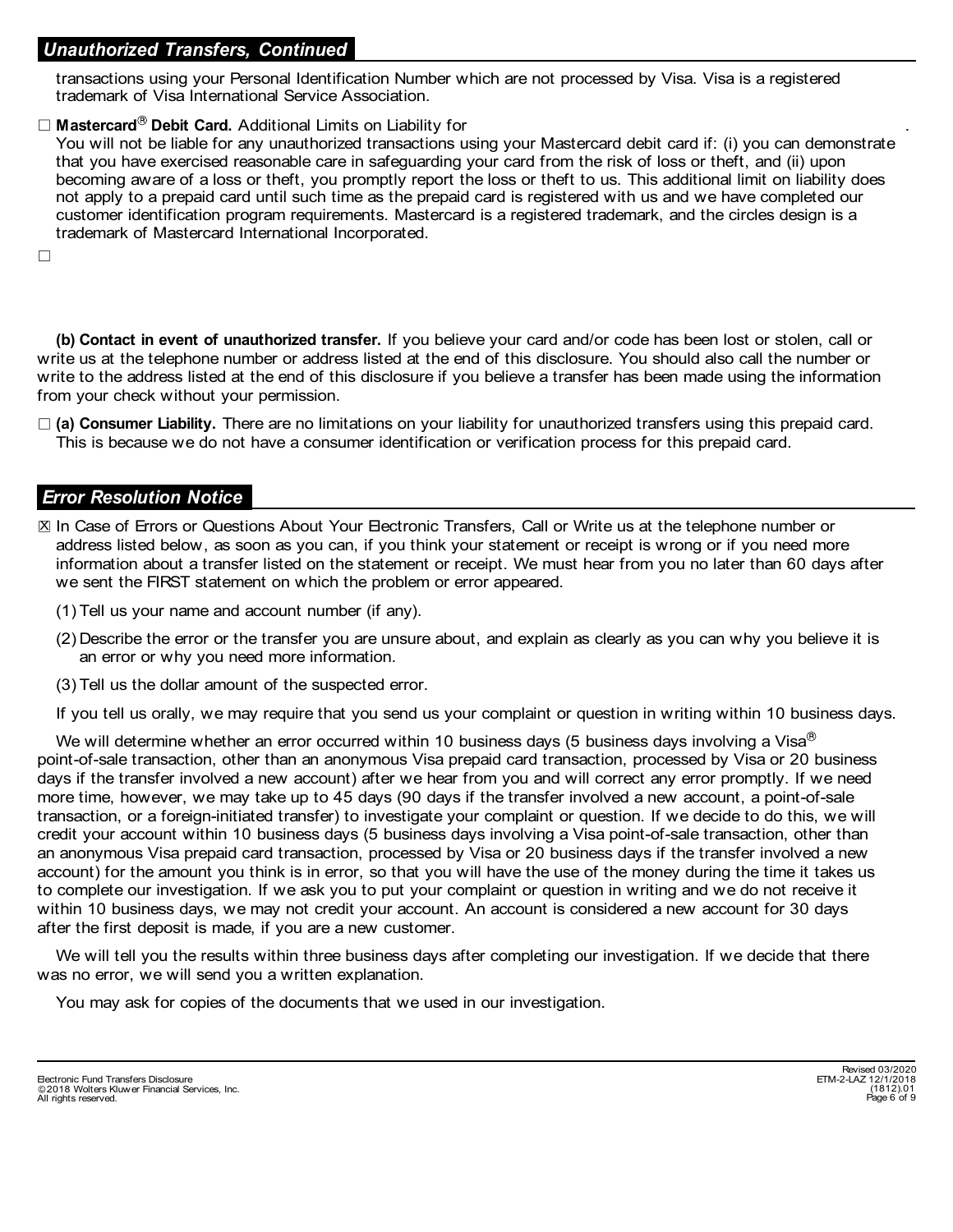### Unauthorized Transfers, Continued

transactions using your Personal Identification Number which are not processed by Visa. Visa is a registered trademark of Visa International Service Association.

#### $\Box$  Mastercard<sup>®</sup> Debit Card. Additional Limits on Liability for

You will not be liable for any unauthorized transactions using your Mastercard debit card if: (i) you can demonstrate that you have exercised reasonable care in safeguarding your card from the risk of loss or theft, and (ii) upon becoming aware of a loss or theft, you promptly report the loss or theft to us. This additional limit on liability does not apply to a prepaid card until such time as the prepaid card is registered with us and we have completed our customer identification program requirements. Mastercard is a registered trademark, and the circles design is a trademark of Mastercard International Incorporated.

 $\Box$ 

(b) Contact in event of unauthorized transfer. If you believe your card and/or code has been lost or stolen, call or write us at the telephone number or address listed at the end of this disclosure. You should also call the number or write to the address listed at the end of this disclosure if you believe a transfer has been made using the information from your check without your permission.

 $\Box$  (a) Consumer Liability. There are no limitations on your liability for unauthorized transfers using this prepaid card. This is because we do not have a consumer identification or verification process for this prepaid card.

#### Error Resolution Notice

- $\boxtimes$  In Case of Errors or Questions About Your Electronic Transfers, Call or Write us at the telephone number or address listed below, as soon as you can, if you think your statement or receipt is wrong or if you need more information about a transfer listed on the statement or receipt. We must hear from you no later than 60 days after we sent the FIRST statement on which the problem or error appeared.
	- (1) Tell us your name and account number (if any).
	- (2) Describe the error or the transfer you are unsure about, and explain as clearly as you can why you believe it is an error or why you need more information.
	- (3) Tell us the dollar amount of the suspected error.

If you tell us orally, we may require that you send us your complaint or question in writing within 10 business days.

We will determine whether an error occurred within 10 business days (5 business days involving a Visa<sup>®</sup> point-of-sale transaction, other than an anonymous Visa prepaid card transaction, processed by Visa or 20 business days if the transfer involved a new account) after we hear from you and will correct any error promptly. If we need more time, however, we may take up to 45 days (90 days if the transfer involved a new account, a point-of-sale transaction, or a foreign-initiated transfer) to investigate your complaint or question. If we decide to do this, we will credit your account within 10 business days (5 business days involving a Visa point-of-sale transaction, other than an anonymous Visa prepaid card transaction, processed by Visa or 20 business days if the transfer involved a new account) for the amount you think is in error, so that you will have the use of the money during the time it takes us to complete our investigation. If we ask you to put your complaint or question in writing and we do not receive it within 10 business days, we may not credit your account. An account is considered a new account for 30 days after the first deposit is made, if you are a new customer.

We will tell you the results within three business days after completing our investigation. If we decide that there was no error, we will send you a written explanation.

You may ask for copies of the documents that we used in our investigation.

.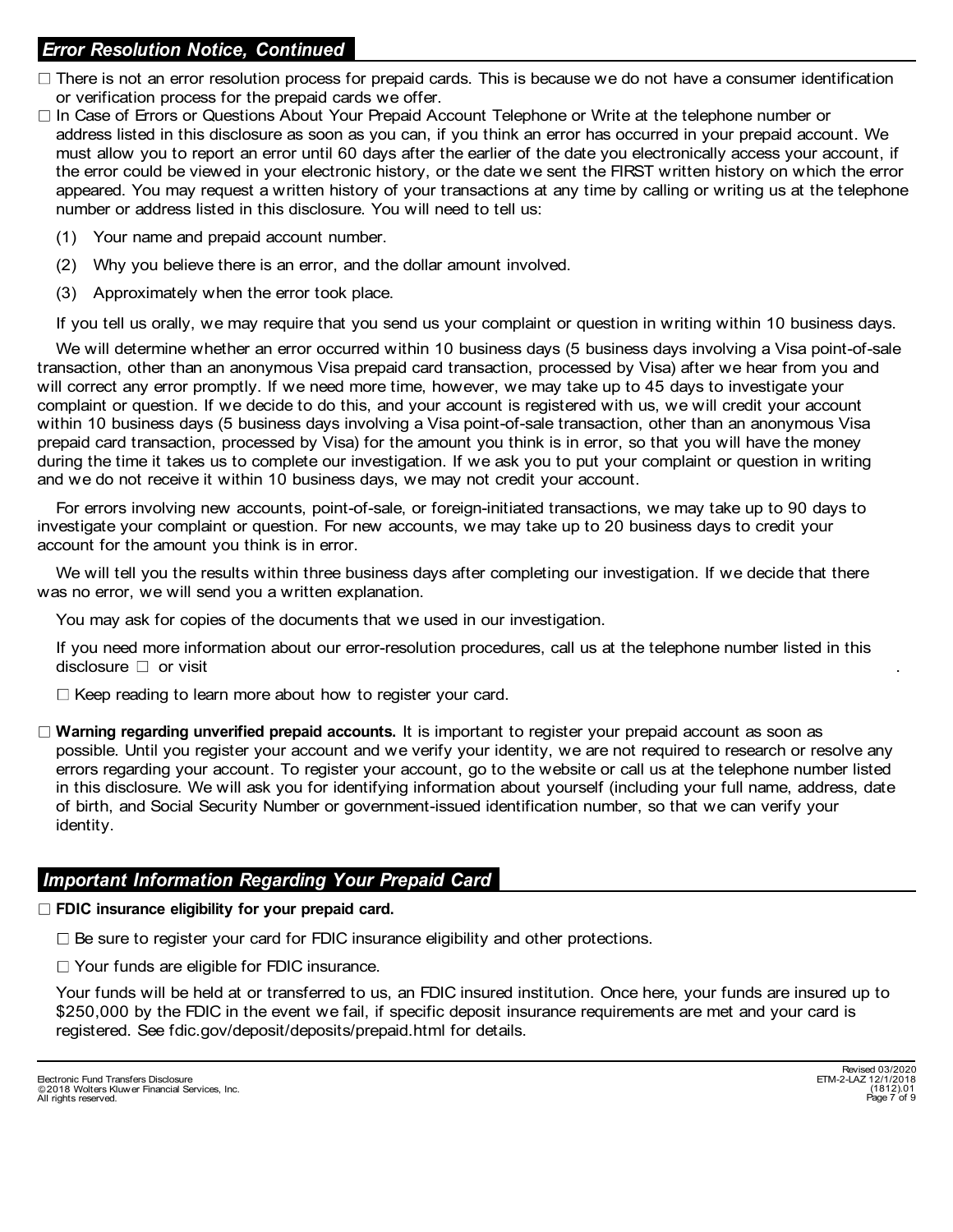# Error Resolution Notice, Continued

- $\Box$  There is not an error resolution process for prepaid cards. This is because we do not have a consumer identification or verification process for the prepaid cards we offer.
- In Case of Errors or Questions About Your Prepaid Account Telephone or Write at the telephone number or address listed in this disclosure as soon as you can, if you think an error has occurred in your prepaid account. We must allow you to report an error until 60 days after the earlier of the date you electronically access your account, if the error could be viewed in your electronic history, or the date we sent the FIRST written history on which the error appeared. You may request a written history of your transactions at any time by calling or writing us at the telephone number or address listed in this disclosure. You will need to tell us:
	- (1) Your name and prepaid account number.
	- (2) Why you believe there is an error, and the dollar amount involved.
	- (3) Approximately when the error took place.

If you tell us orally, we may require that you send us your complaint or question in writing within 10 business days.

transaction, other than an anonymous Visa prepaid card transaction, processed by Visa) after we hear from you and will correct any error promptly. If we need more time, however, we may take up to 45 days to investigate your complaint or question. If we decide to do this, and your account is registered with us, we will credit your account within 10 business days (5 business days involving a Visa point-of-sale transaction, other than an anonymous Visa prepaid card transaction, processed by Visa) for the amount you think is in error, so that you will have the money during the time it takes us to complete our investigation. If we ask you to put your complaint or question in writing and we do not receive it within 10 business days, we may not credit your account. (2) Mhy you believe there is an error, and the dollar amount involved.<br>
(3) Approximately when the error took place.<br>
(4) Approximately when the error took place.<br>
If you tell us orally, we may require that you send us you We will determine whether an error occurred within 10 business days (5 business days involving a Visa point-of-sale

For errors involving new accounts, point-of-sale, or foreign-initiated transactions, we may take up to 90 days to investigate your complaint or question. For new accounts, we may take up to 20 business days to credit your account for the amount you think is in error.

We will tell you the results within three business days after completing our investigation. If we decide that there was no error, we will send you a written explanation.

You may ask for copies of the documents that we used in our investigation.

If you need more information about our error-resolution procedures, call us at the telephone number listed in this

 $\Box$  Keep reading to learn more about how to register your card.

 $\Box$  Warning regarding unverified prepaid accounts. It is important to register your prepaid account as soon as possible. Until you register your account and we verify your identity, we are not required to research or resolve any errors regarding your account. To register your account, go to the website or call us at the telephone number listed in this disclosure. We will ask you for identifying information about yourself (including your full name, address, date of birth, and Social Security Number or government-issued identification number, so that we can verify your identity.

### Important Information Regarding Your Prepaid Card

 $\Box$  FDIC insurance eligibility for your prepaid card.

 $\Box$  Be sure to register your card for FDIC insurance eligibility and other protections.

□ Your funds are eligible for FDIC insurance.

Your funds will be held at or transferred to us, an FDIC insured institution. Once here, your funds are insured up to \$250,000 by the FDIC in the event we fail, if specific deposit insurance requirements are met and your card is registered. See fdic.gov/deposit/deposits/prepaid.html for details.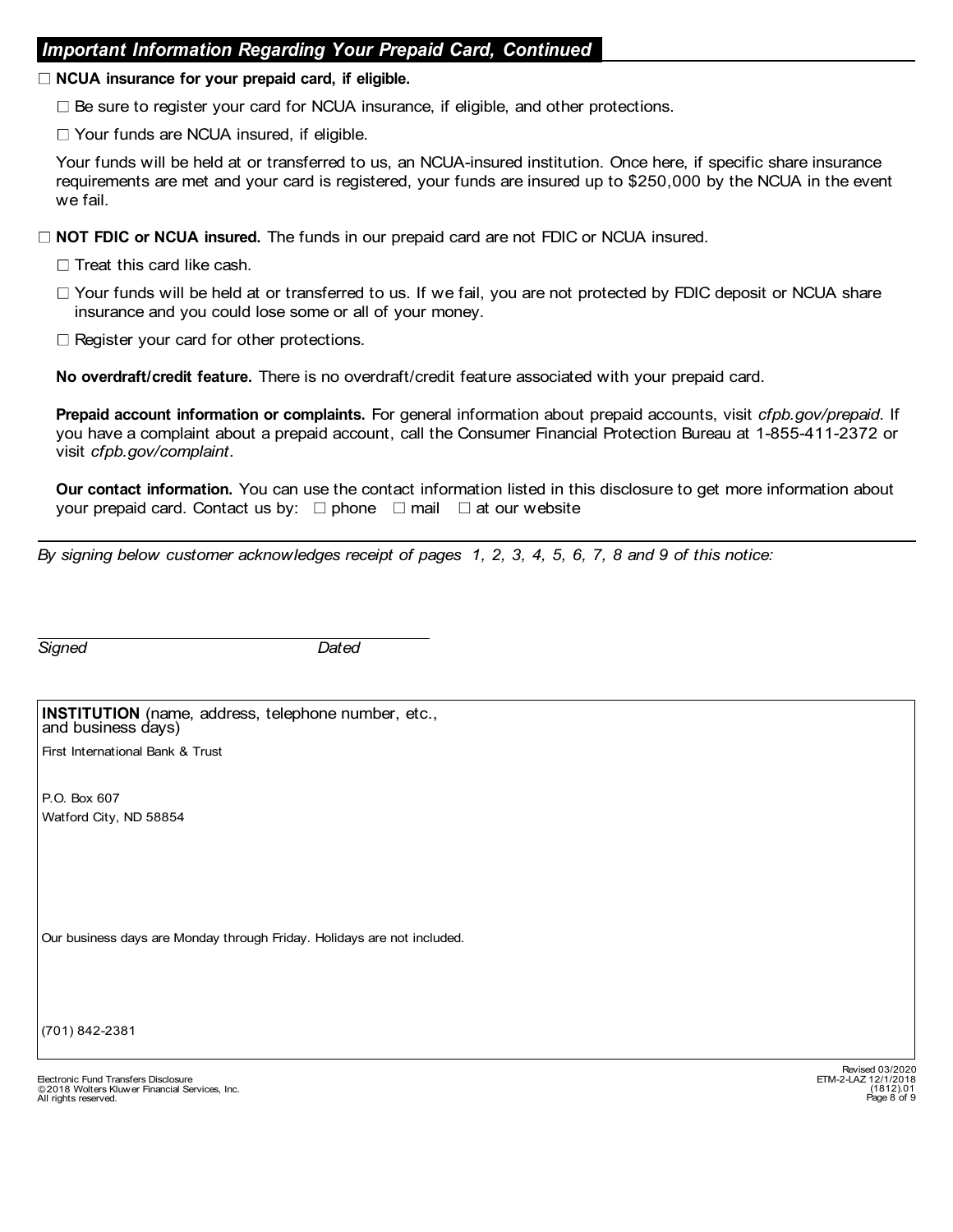### Important Information Regarding Your Prepaid Card, Continued

#### $\Box$  NCUA insurance for your prepaid card, if eligible.

 $\Box$  Be sure to register your card for NCUA insurance, if eligible, and other protections.

 $\Box$  Your funds are NCUA insured, if eligible.

Your funds will be held at or transferred to us, an NCUA-insured institution. Once here, if specific share insurance requirements are met and your card is registered, your funds are insured up to \$250,000 by the NCUA in the event we fail.

 $\Box$  NOT FDIC or NCUA insured. The funds in our prepaid card are not FDIC or NCUA insured.

- $\Box$  Treat this card like cash.
- $\Box$  Your funds will be held at or transferred to us. If we fail, you are not protected by FDIC deposit or NCUA share insurance and you could lose some or all of your money.
- $\Box$  Register your card for other protections.

No overdraft/credit feature. There is no overdraft/credit feature associated with your prepaid card.

Prepaid account information or complaints. For general information about prepaid accounts, visit cfpb.gov/prepaid. If you have a complaint about a prepaid account, call the Consumer Financial Protection Bureau at 1-855-411-2372 or visit cfpb.gov/complaint. Treat this card like cash.<br>  $\Box$  Treat this card like cash.<br>  $\Box$  Your funds will be held at or transferred to us. If we fail, you are not protected by FDIC deposit or NCU<br>
insurance and you could lose some or all of your

Our contact information. You can use the contact information listed in this disclosure to get more information about your prepaid card. Contact us by:  $\Box$  phone  $\Box$  mail  $\Box$  at our website

By signing below customer acknowledges receipt of pages 1, 2, 3, 4, 5, 6, 7, 8 and 9 of this notice:

|                    | <b>INSTITUTION</b> (name, address, telephone number, etc., |
|--------------------|------------------------------------------------------------|
| and business days) |                                                            |

First International Bank & Trust

P.O. Box 607 Watford City, ND 58854

Our business days are Monday through Friday. Holidays are not included.

(701) 842-2381

Page 8 of 9 Electronic Fund Transfers Disclosure ETM-2-LAZ 12/1/2018 2018 Wolters Kluwer Financial Services, Inc. All rights reserved.